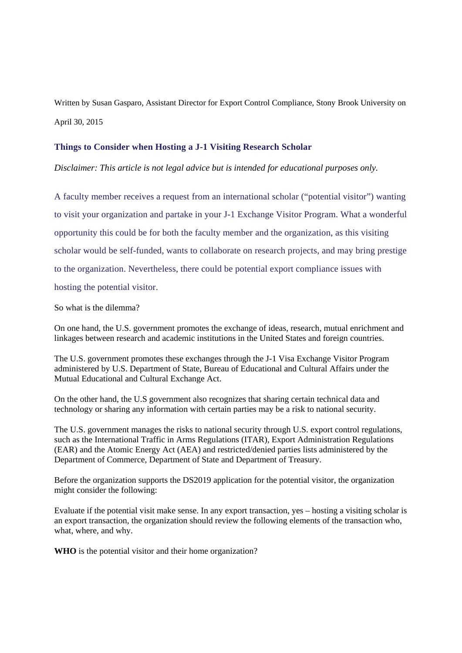Written by Susan Gasparo, Assistant Director for Export Control Compliance, Stony Brook University on April 30, 2015

## **Things to Consider when Hosting a J-1 Visiting Research Scholar**

*Disclaimer: This article is not legal advice but is intended for educational purposes only.*

A faculty member receives a request from an international scholar ("potential visitor") wanting to visit your organization and partake in your J-1 Exchange Visitor Program. What a wonderful opportunity this could be for both the faculty member and the organization, as this visiting scholar would be self-funded, wants to collaborate on research projects, and may bring prestige to the organization. Nevertheless, there could be potential export compliance issues with hosting the potential visitor.

So what is the dilemma?

On one hand, the U.S. government promotes the exchange of ideas, research, mutual enrichment and linkages between research and academic institutions in the United States and foreign countries.

The U.S. government promotes these exchanges through the J-1 Visa Exchange Visitor Program administered by U.S. Department of State, Bureau of Educational and Cultural Affairs under the Mutual Educational and Cultural Exchange Act.

On the other hand, the U.S government also recognizes that sharing certain technical data and technology or sharing any information with certain parties may be a risk to national security.

The U.S. government manages the risks to national security through U.S. export control regulations, such as the International Traffic in Arms Regulations (ITAR), Export Administration Regulations (EAR) and the Atomic Energy Act (AEA) and restricted/denied parties lists administered by the Department of Commerce, Department of State and Department of Treasury.

Before the organization supports the DS2019 application for the potential visitor, the organization might consider the following:

Evaluate if the potential visit make sense. In any export transaction, yes – hosting a visiting scholar is an export transaction, the organization should review the following elements of the transaction who, what, where, and why.

**WHO** is the potential visitor and their home organization?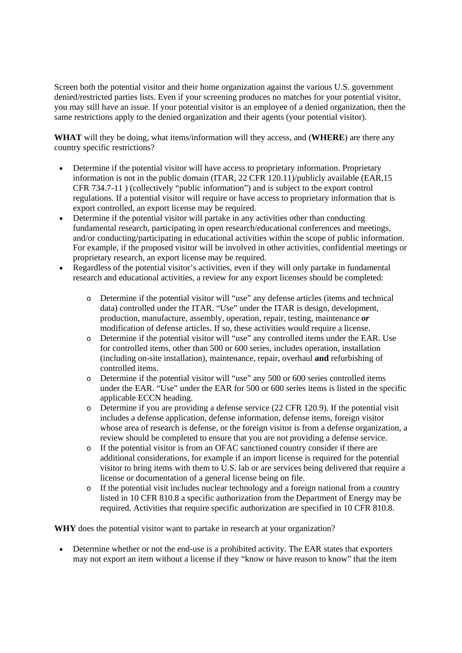Screen both the potential visitor and their home organization against the various U.S. government denied/restricted parties lists. Even if your screening produces no matches for your potential visitor, you may still have an issue. If your potential visitor is an employee of a denied organization, then the same restrictions apply to the denied organization and their agents (your potential visitor).

**WHAT** will they be doing, what items/information will they access, and (**WHERE**) are there any country specific restrictions?

- Determine if the potential visitor will have access to proprietary information. Proprietary information is not in the public domain (ITAR, 22 CFR 120.11)/publicly available (EAR,15 CFR 734.7-11 ) (collectively "public information") and is subject to the export control regulations. If a potential visitor will require or have access to proprietary information that is export controlled, an export license may be required.
- Determine if the potential visitor will partake in any activities other than conducting fundamental research, participating in open research/educational conferences and meetings, and/or conducting/participating in educational activities within the scope of public information. For example, if the proposed visitor will be involved in other activities, confidential meetings or proprietary research, an export license may be required.
- Regardless of the potential visitor's activities, even if they will only partake in fundamental research and educational activities, a review for any export licenses should be completed:
	- o Determine if the potential visitor will "use" any defense articles (items and technical data) controlled under the ITAR. "Use" under the ITAR is design, development, production, manufacture, assembly, operation, repair, testing, maintenance *or* modification of defense articles. If so, these activities would require a license.
	- o Determine if the potential visitor will "use" any controlled items under the EAR. Use for controlled items, other than 500 or 600 series, includes operation, installation (including on-site installation), maintenance, repair, overhaul **and** refurbishing of controlled items.
	- o Determine if the potential visitor will "use" any 500 or 600 series controlled items under the EAR. "Use" under the EAR for 500 or 600 series items is listed in the specific applicable ECCN heading.
	- o Determine if you are providing a defense service (22 CFR 120.9). If the potential visit includes a defense application, defense information, defense items, foreign visitor whose area of research is defense, or the foreign visitor is from a defense organization, a review should be completed to ensure that you are not providing a defense service.
	- o If the potential visitor is from an OFAC sanctioned country consider if there are additional considerations, for example if an import license is required for the potential visitor to bring items with them to U.S. lab or are services being delivered that require a license or documentation of a general license being on file.
	- $\circ$  If the potential visit includes nuclear technology and a foreign national from a country listed in 10 CFR 810.8 a specific authorization from the Department of Energy may be required. Activities that require specific authorization are specified in 10 CFR 810.8.

**WHY** does the potential visitor want to partake in research at your organization?

 Determine whether or not the end-use is a prohibited activity. The EAR states that exporters may not export an item without a license if they "know or have reason to know" that the item